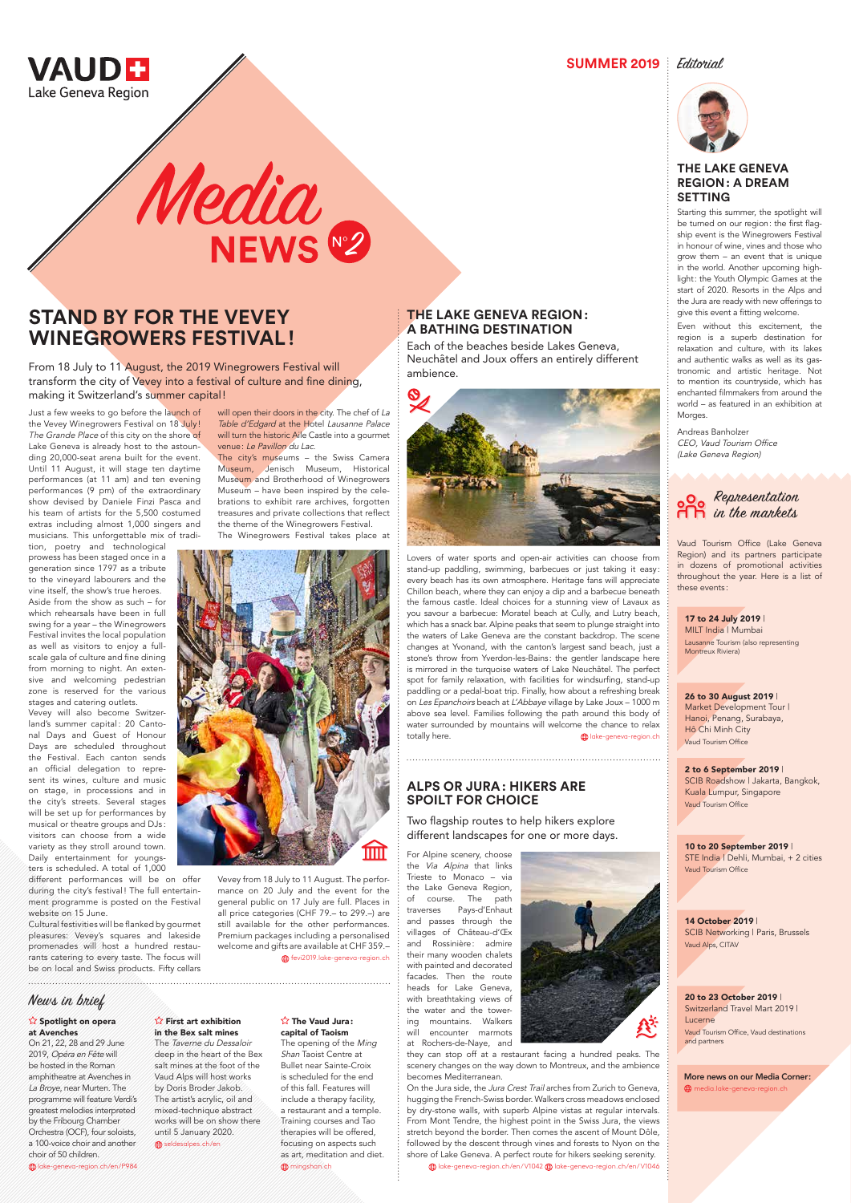

**SUMMER 2019** Editorial

## **THE LAKE GENEVA REGION: A BATHING DESTINATION**

Lovers of water sports and open-air activities can choose from stand-up paddling, swimming, barbecues or just taking it easy: every beach has its own atmosphere. Heritage fans will appreciate Chillon beach, where they can enjoy a dip and a barbecue beneath the famous castle. Ideal choices for a stunning view of Lavaux as you savour a barbecue: Moratel beach at Cully, and Lutry beach, which has a snack bar. Alpine peaks that seem to plunge straight into the waters of Lake Geneva are the constant backdrop. The scene changes at Yvonand, with the canton's largest sand beach, just a stone's throw from Yverdon-les-Bains: the gentler landscape here is mirrored in the turquoise waters of Lake Neuchâtel. The perfect spot for family relaxation, with facilities for windsurfing, stand-up paddling or a pedal-boat trip. Finally, how about a refreshing break on Les Epanchoirs beach at L'Abbaye village by Lake Joux – 1000 m above sea level. Families following the path around this body of water surrounded by mountains will welcome the chance to relax totally here. laws and the control of the sense of the sense of the sense of the sense of the sense of the sense of the sense of the sense of the sense of the sense of the sense of the sense of the sense of the sense of th

Each of the beaches beside Lakes Geneva, Neuchâtel and Joux offers an entirely different ambience.



# **STAND BY FOR THE VEVEY WINEGROWERS FESTIVAL!**

From 18 July to 11 August, the 2019 Winegrowers Festival will transform the city of Vevey into a festival of culture and fine dining, making it Switzerland's summer capital!

Just a few weeks to go before the launch of the Vevey Winegrowers Festival on 18 July! The Grande Place of this city on the shore of Lake Geneva is already host to the astounding 20,000-seat arena built for the event. Until 11 August, it will stage ten daytime performances (at 11 am) and ten evening performances (9 pm) of the extraordinary show devised by Daniele Finzi Pasca and his team of artists for the 5,500 costumed extras including almost 1,000 singers and musicians. This unforgettable mix of tradi-

will open their doors in the city. The chef of La Table d'Edgard at the Hotel Lausanne Palace will turn the historic Aile Castle into a gourmet venue: Le Pavillon du Lac.

tion, poetry and technological prowess has been staged once in a generation since 1797 as a tribute to the vineyard labourers and the vine itself, the show's true heroes. Aside from the show as such – for which rehearsals have been in full swing for a year – the Winegrowers Festival invites the local population as well as visitors to enjoy a fullscale gala of culture and fine dining from morning to night. An extensive and welcoming pedestrian zone is reserved for the various stages and catering outlets.

Vevey will also become Switzerland's summer capital: 20 Cantonal Days and Guest of Honour Days are scheduled throughout the Festival. Each canton sends an official delegation to represent its wines, culture and music on stage, in processions and in the city's streets. Several stages will be set up for performances by musical or theatre groups and DJs : visitors can choose from a wide variety as they stroll around town. Daily entertainment for youngsters is scheduled. A total of 1,000

different performances will be on offer during the city's festival! The full entertainment programme is posted on the Festival

website on 15 June.

Cultural festivities will be flanked by gourmet pleasures: Vevey's squares and lakeside promenades will host a hundred restaurants catering to every taste. The focus will be on local and Swiss products. Fifty cellars

#### **Spotlight on opera** at Avenches

 $\hat{\mathbf{r}}$  First art exhibition in the Bex salt mines

The Taverne du Dessaloir deep in the heart of the Bex salt mines at the foot of the Vaud Alps will host works by Doris Broder Jakob. The artist's acrylic, oil and mixed-technique abstract works will be on show there until 5 January 2020.  $\bigoplus$  seldesalpes.ch/en

#### $\hat{X}$  The Vaud Jura: capital of Taoism

The opening of the Ming Shan Taoist Centre at Bullet near Sainte-Croix is scheduled for the end of this fall. Features will include a therapy facility, a restaurant and a temple. Training courses and Tao therapies will be offered, focusing on aspects such as art, meditation and diet. **fft** mingshan.ch

The city's museums – the Swiss Camera Museum, Jenisch Museum, Historical Museum and Brotherhood of Winegrowers Museum – have been inspired by the celebrations to exhibit rare archives, forgotten treasures and private collections that reflect the theme of the Winegrowers Festival. The Winegrowers Festival takes place at



Vevey from 18 July to 11 August. The performance on 20 July and the event for the general public on 17 July are full. Places in all price categories (CHF 79.– to 299.–) are

still available for the other performances. Premium packages including a personalised welcome and gifts are available at CHF 359.–

fevi2019.lake-geneva-region.ch

## **THE LAKE GENEVA REGION: A DREAM SETTING**

Starting this summer, the spotlight will be turned on our region: the first flagship event is the Winegrowers Festival in honour of wine, vines and those who grow them – an event that is unique in the world. Another upcoming highlight: the Youth Olympic Games at the start of 2020. Resorts in the Alps and the Jura are ready with new offerings to give this event a fitting welcome.

Even without this excitement, the region is a superb destination for relaxation and culture, with its lakes and authentic walks as well as its gastronomic and artistic heritage. Not to mention its countryside, which has enchanted filmmakers from around the world – as featured in an exhibition at Morges.

Andreas Banholzer CEO, Vaud Tourism Office (Lake Geneva Region)

# **ALPS OR JURA: HIKERS ARE SPOILT FOR CHOICE**

Two flagship routes to help hikers explore different landscapes for one or more days.

For Alpine scenery, choose the Via Alpina that links Trieste to Monaco – via the Lake Geneva Region, of course. The path traverses Pays-d'Enhaut and passes through the villages of Château-d'Œx and Rossinière: admire their many wooden chalets with painted and decorated facades. Then the route heads for Lake Geneva, with breathtaking views of the water and the towering mountains. Walkers will encounter marmots at Rochers-de-Naye, and



they can stop off at a restaurant facing a hundred peaks. The scenery changes on the way down to Montreux, and the ambience becomes Mediterranean.

On the Jura side, the Jura Crest Trail arches from Zurich to Geneva, hugging the French-Swiss border. Walkers cross meadows enclosed by dry-stone walls, with superb Alpine vistas at regular intervals. From Mont Tendre, the highest point in the Swiss Jura, the views stretch beyond the border. Then comes the ascent of Mount Dôle, followed by the descent through vines and forests to Nyon on the shore of Lake Geneva. A perfect route for hikers seeking serenity.

lake-geneva-region.ch/en/V1042 lake-geneva-region.ch/en/V1046

# Representation in the markets

Vaud Tourism Office (Lake Geneva Region) and its partners participate in dozens of promotional activities throughout the year. Here is a list of these events :

On 21, 22, 28 and 29 June 2019, Opéra en Fête will be hosted in the Roman amphitheatre at Avenches in La Broye, near Murten. The programme will feature Verdi's greatest melodies interpreted by the Fribourg Chamber Orchestra (OCF), four soloists, a 100-voice choir and another choir of 50 children.

lake-geneva-region.ch/en/P984

# News in brief

#### 17 to 24 July 2019 |

MILT India | Mumbai Lausanne Tourism (also representing Montreux Riviera)

#### 2 to 6 September 2019 |

SCIB Roadshow | Jakarta, Bangkok, Kuala Lumpur, Singapore Vaud Tourism Office

#### 26 to 30 August 2019 |

Market Development Tour | Hanoi, Penang, Surabaya, Hô Chi Minh City Vaud Tourism Office

#### 10 to 20 September 2019 |

STE India | Dehli, Mumbai, + 2 cities Vaud Tourism Office

# Media<br>NEWS 2

14 October 2019 | SCIB Networking | Paris, Brussels Vaud Alps, CITAV

#### 20 to 23 October 2019 | Switzerland Travel Mart 2019 | Lucerne Vaud Tourism Office, Vaud destinations and partners

More news on our Media Corner: media.lake-geneva-region.ch